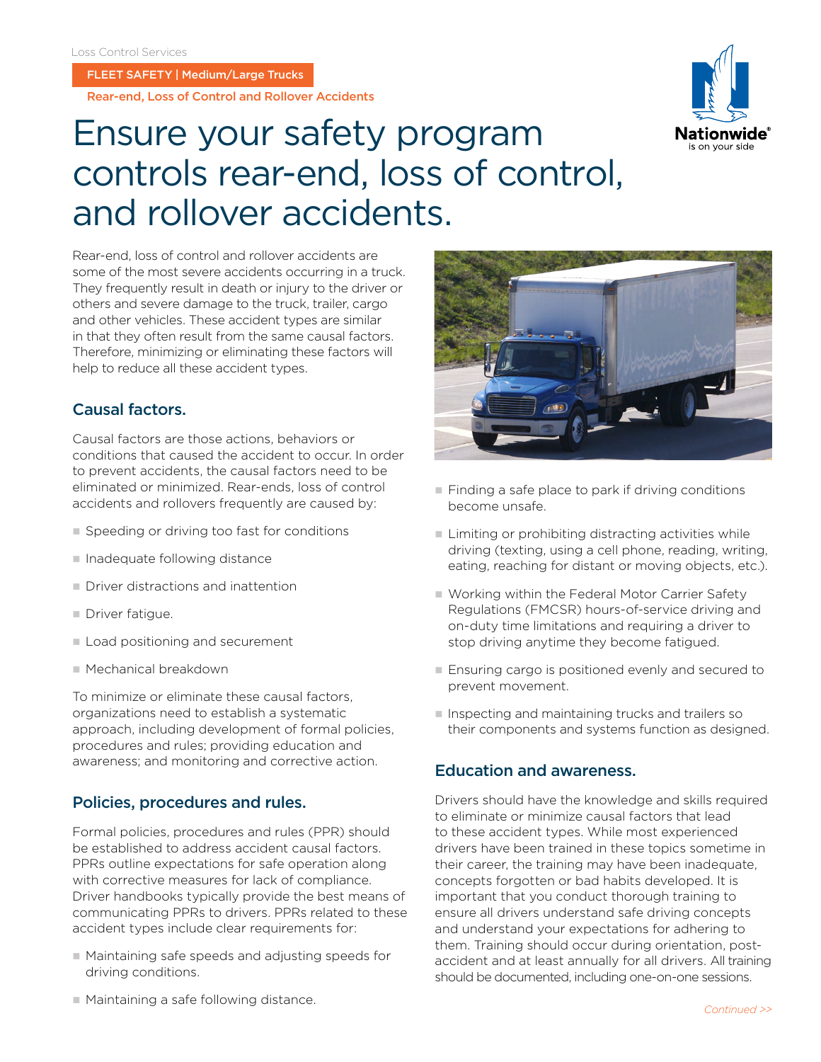FLEET SAFETY | Medium/Large Trucks

Rear-end, Loss of Control and Rollover Accidents

# Ensure your safety program controls rear-end, loss of control, and rollover accidents.

Rear-end, loss of control and rollover accidents are some of the most severe accidents occurring in a truck. They frequently result in death or injury to the driver or others and severe damage to the truck, trailer, cargo and other vehicles. These accident types are similar in that they often result from the same causal factors. Therefore, minimizing or eliminating these factors will help to reduce all these accident types.

# Causal factors.

Causal factors are those actions, behaviors or conditions that caused the accident to occur. In order to prevent accidents, the causal factors need to be eliminated or minimized. Rear-ends, loss of control accidents and rollovers frequently are caused by:

- $\square$  Speeding or driving too fast for conditions
- $\blacksquare$  Inadequate following distance
- $\blacksquare$  Driver distractions and inattention
- $\blacksquare$  Driver fatigue.
- Load positioning and securement
- Mechanical breakdown

To minimize or eliminate these causal factors, organizations need to establish a systematic approach, including development of formal policies, procedures and rules; providing education and awareness; and monitoring and corrective action.

### Policies, procedures and rules.

Formal policies, procedures and rules (PPR) should be established to address accident causal factors. PPRs outline expectations for safe operation along with corrective measures for lack of compliance. Driver handbooks typically provide the best means of communicating PPRs to drivers. PPRs related to these accident types include clear requirements for:

 $\blacksquare$  Maintaining safe speeds and adjusting speeds for driving conditions.



- $\blacksquare$  Finding a safe place to park if driving conditions become unsafe.
- $\blacksquare$  Limiting or prohibiting distracting activities while driving (texting, using a cell phone, reading, writing, eating, reaching for distant or moving objects, etc.).
- Working within the Federal Motor Carrier Safety Regulations (FMCSR) hours-of-service driving and on-duty time limitations and requiring a driver to stop driving anytime they become fatigued.
- $\blacksquare$  Ensuring cargo is positioned evenly and secured to prevent movement.
- n Inspecting and maintaining trucks and trailers so their components and systems function as designed.

#### Education and awareness.

Drivers should have the knowledge and skills required to eliminate or minimize causal factors that lead to these accident types. While most experienced drivers have been trained in these topics sometime in their career, the training may have been inadequate, concepts forgotten or bad habits developed. It is important that you conduct thorough training to ensure all drivers understand safe driving concepts and understand your expectations for adhering to them. Training should occur during orientation, postaccident and at least annually for all drivers. All training should be documented, including one-on-one sessions.

is on vour sid:

 $\blacksquare$  Maintaining a safe following distance.